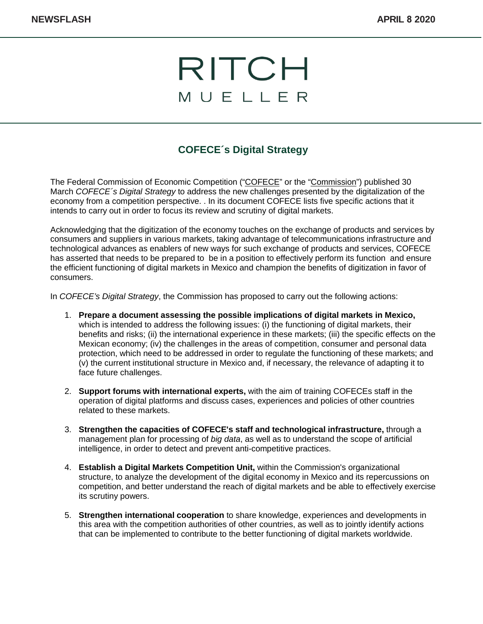

## **COFECE´s Digital Strategy**

The Federal Commission of Economic Competition ("COFECE" or the "Commission") published 30 March *COFECE´s Digital Strategy* to address the new challenges presented by the digitalization of the economy from a competition perspective. . In its document COFECE lists five specific actions that it intends to carry out in order to focus its review and scrutiny of digital markets.

Acknowledging that the digitization of the economy touches on the exchange of products and services by consumers and suppliers in various markets, taking advantage of telecommunications infrastructure and technological advances as enablers of new ways for such exchange of products and services, COFECE has asserted that needs to be prepared to be in a position to effectively perform its function and ensure the efficient functioning of digital markets in Mexico and champion the benefits of digitization in favor of consumers.

In *COFECE's Digital Strategy*, the Commission has proposed to carry out the following actions:

- 1. **Prepare a document assessing the possible implications of digital markets in Mexico,** which is intended to address the following issues: (i) the functioning of digital markets, their benefits and risks; (ii) the international experience in these markets; (iii) the specific effects on the Mexican economy; (iv) the challenges in the areas of competition, consumer and personal data protection, which need to be addressed in order to regulate the functioning of these markets; and (v) the current institutional structure in Mexico and, if necessary, the relevance of adapting it to face future challenges.
- 2. **Support forums with international experts,** with the aim of training COFECEs staff in the operation of digital platforms and discuss cases, experiences and policies of other countries related to these markets.
- 3. **Strengthen the capacities of COFECE's staff and technological infrastructure,** through a management plan for processing of *big data*, as well as to understand the scope of artificial intelligence, in order to detect and prevent anti-competitive practices.
- 4. **Establish a Digital Markets Competition Unit,** within the Commission's organizational structure, to analyze the development of the digital economy in Mexico and its repercussions on competition, and better understand the reach of digital markets and be able to effectively exercise its scrutiny powers.
- 5. **Strengthen international cooperation** to share knowledge, experiences and developments in this area with the competition authorities of other countries, as well as to jointly identify actions that can be implemented to contribute to the better functioning of digital markets worldwide.